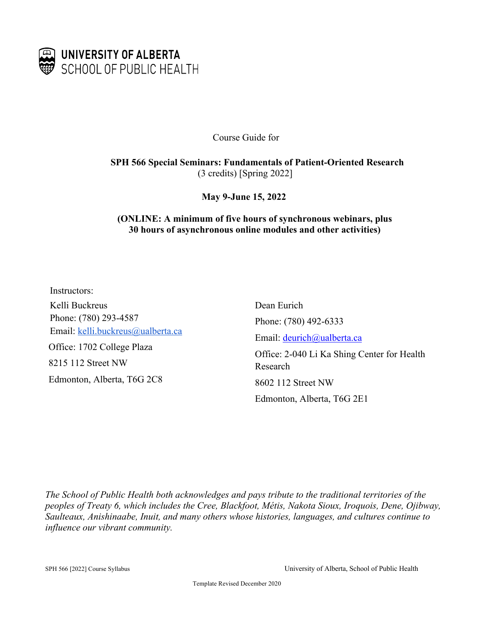

Course Guide for

**SPH 566 Special Seminars: Fundamentals of Patient-Oriented Research**  (3 credits) [Spring 2022]

**May 9-June 15, 2022**

### **(ONLINE: A minimum of five hours of synchronous webinars, plus 30 hours of asynchronous online modules and other activities)**

Instructors: Kelli Buckreus Phone: (780) 293-4587 Email: kelli.buckreus@ualberta.ca Office: 1702 College Plaza 8215 112 Street NW Edmonton, Alberta, T6G 2C8

Dean Eurich Phone: (780) 492-6333 Email: deurich@ualberta.ca Office: 2-040 Li Ka Shing Center for Health Research 8602 112 Street NW Edmonton, Alberta, T6G 2E1

*The School of Public Health both acknowledges and pays tribute to the traditional territories of the peoples of Treaty 6, which includes the Cree, Blackfoot, Métis, Nakota Sioux, Iroquois, Dene, Ojibway, Saulteaux, Anishinaabe, Inuit, and many others whose histories, languages, and cultures continue to influence our vibrant community.*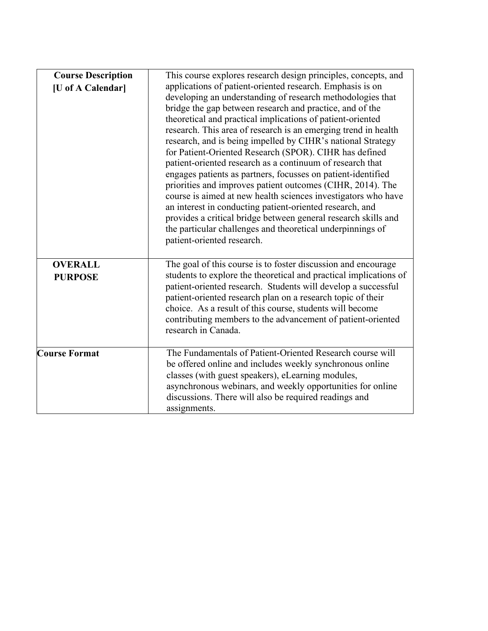| <b>Course Description</b><br>[U of A Calendar] | This course explores research design principles, concepts, and<br>applications of patient-oriented research. Emphasis is on<br>developing an understanding of research methodologies that<br>bridge the gap between research and practice, and of the<br>theoretical and practical implications of patient-oriented<br>research. This area of research is an emerging trend in health<br>research, and is being impelled by CIHR's national Strategy<br>for Patient-Oriented Research (SPOR). CIHR has defined<br>patient-oriented research as a continuum of research that<br>engages patients as partners, focusses on patient-identified<br>priorities and improves patient outcomes (CIHR, 2014). The<br>course is aimed at new health sciences investigators who have<br>an interest in conducting patient-oriented research, and<br>provides a critical bridge between general research skills and<br>the particular challenges and theoretical underpinnings of<br>patient-oriented research. |
|------------------------------------------------|------------------------------------------------------------------------------------------------------------------------------------------------------------------------------------------------------------------------------------------------------------------------------------------------------------------------------------------------------------------------------------------------------------------------------------------------------------------------------------------------------------------------------------------------------------------------------------------------------------------------------------------------------------------------------------------------------------------------------------------------------------------------------------------------------------------------------------------------------------------------------------------------------------------------------------------------------------------------------------------------------|
| <b>OVERALL</b><br><b>PURPOSE</b>               | The goal of this course is to foster discussion and encourage<br>students to explore the theoretical and practical implications of<br>patient-oriented research. Students will develop a successful<br>patient-oriented research plan on a research topic of their<br>choice. As a result of this course, students will become<br>contributing members to the advancement of patient-oriented<br>research in Canada.                                                                                                                                                                                                                                                                                                                                                                                                                                                                                                                                                                                 |
| <b>Course Format</b>                           | The Fundamentals of Patient-Oriented Research course will<br>be offered online and includes weekly synchronous online<br>classes (with guest speakers), eLearning modules,<br>asynchronous webinars, and weekly opportunities for online<br>discussions. There will also be required readings and<br>assignments.                                                                                                                                                                                                                                                                                                                                                                                                                                                                                                                                                                                                                                                                                    |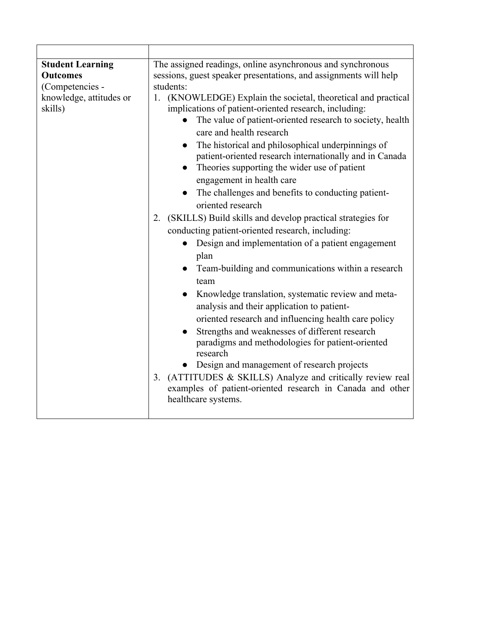| <b>Student Learning</b><br><b>Outcomes</b><br>(Competencies -<br>knowledge, attitudes or<br>skills) | The assigned readings, online asynchronous and synchronous<br>sessions, guest speaker presentations, and assignments will help<br>students:<br>(KNOWLEDGE) Explain the societal, theoretical and practical<br>1.<br>implications of patient-oriented research, including:<br>The value of patient-oriented research to society, health<br>$\bullet$<br>care and health research<br>The historical and philosophical underpinnings of<br>$\bullet$<br>patient-oriented research internationally and in Canada<br>Theories supporting the wider use of patient<br>engagement in health care<br>The challenges and benefits to conducting patient-<br>oriented research<br>(SKILLS) Build skills and develop practical strategies for<br>2.<br>conducting patient-oriented research, including:<br>Design and implementation of a patient engagement<br>$\bullet$<br>plan<br>Team-building and communications within a research<br>$\bullet$<br>team<br>Knowledge translation, systematic review and meta-<br>analysis and their application to patient-<br>oriented research and influencing health care policy<br>Strengths and weaknesses of different research<br>paradigms and methodologies for patient-oriented<br>research<br>Design and management of research projects<br>(ATTITUDES & SKILLS) Analyze and critically review real<br>3. |
|-----------------------------------------------------------------------------------------------------|------------------------------------------------------------------------------------------------------------------------------------------------------------------------------------------------------------------------------------------------------------------------------------------------------------------------------------------------------------------------------------------------------------------------------------------------------------------------------------------------------------------------------------------------------------------------------------------------------------------------------------------------------------------------------------------------------------------------------------------------------------------------------------------------------------------------------------------------------------------------------------------------------------------------------------------------------------------------------------------------------------------------------------------------------------------------------------------------------------------------------------------------------------------------------------------------------------------------------------------------------------------------------------------------------------------------------------------------|
|                                                                                                     | examples of patient-oriented research in Canada and other<br>healthcare systems.                                                                                                                                                                                                                                                                                                                                                                                                                                                                                                                                                                                                                                                                                                                                                                                                                                                                                                                                                                                                                                                                                                                                                                                                                                                               |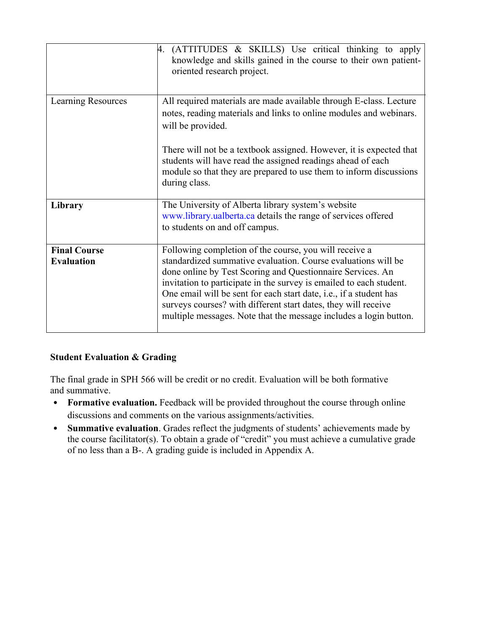|                                          | (ATTITUDES & SKILLS) Use critical thinking to apply<br>4.<br>knowledge and skills gained in the course to their own patient-<br>oriented research project.                                                                                                                                                                                                                                                                                                                |
|------------------------------------------|---------------------------------------------------------------------------------------------------------------------------------------------------------------------------------------------------------------------------------------------------------------------------------------------------------------------------------------------------------------------------------------------------------------------------------------------------------------------------|
| <b>Learning Resources</b>                | All required materials are made available through E-class. Lecture<br>notes, reading materials and links to online modules and webinars.<br>will be provided.                                                                                                                                                                                                                                                                                                             |
|                                          | There will not be a textbook assigned. However, it is expected that<br>students will have read the assigned readings ahead of each<br>module so that they are prepared to use them to inform discussions<br>during class.                                                                                                                                                                                                                                                 |
| Library                                  | The University of Alberta library system's website<br>www.library.ualberta.ca details the range of services offered<br>to students on and off campus.                                                                                                                                                                                                                                                                                                                     |
| <b>Final Course</b><br><b>Evaluation</b> | Following completion of the course, you will receive a<br>standardized summative evaluation. Course evaluations will be<br>done online by Test Scoring and Questionnaire Services. An<br>invitation to participate in the survey is emailed to each student.<br>One email will be sent for each start date, i.e., if a student has<br>surveys courses? with different start dates, they will receive<br>multiple messages. Note that the message includes a login button. |

## **Student Evaluation & Grading**

The final grade in SPH 566 will be credit or no credit. Evaluation will be both formative and summative.

- **Formative evaluation.** Feedback will be provided throughout the course through online discussions and comments on the various assignments/activities.
- **Summative evaluation**. Grades reflect the judgments of students' achievements made by the course facilitator(s). To obtain a grade of "credit" you must achieve a cumulative grade of no less than a B-. A grading guide is included in Appendix A.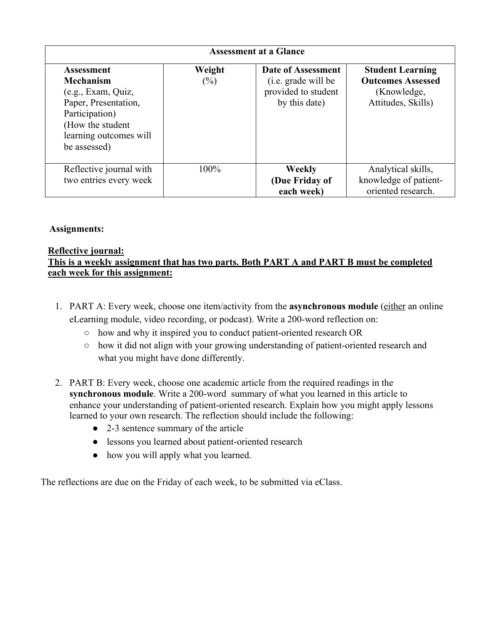| <b>Assessment at a Glance</b>                                                                                                                                       |                  |                                                                                          |                                                                                          |
|---------------------------------------------------------------------------------------------------------------------------------------------------------------------|------------------|------------------------------------------------------------------------------------------|------------------------------------------------------------------------------------------|
| <b>Assessment</b><br><b>Mechanism</b><br>(e.g., Exam, Quiz,<br>Paper, Presentation,<br>Participation)<br>(How the student<br>learning outcomes will<br>be assessed) | Weight<br>$(\%)$ | <b>Date of Assessment</b><br>(i.e. grade will be<br>provided to student<br>by this date) | <b>Student Learning</b><br><b>Outcomes Assessed</b><br>(Knowledge,<br>Attitudes, Skills) |
| Reflective journal with<br>two entries every week                                                                                                                   | 100%             | <b>Weekly</b><br>(Due Friday of<br>each week)                                            | Analytical skills,<br>knowledge of patient-<br>oriented research.                        |

## **Assignments:**

### **Reflective journal:**

## **This is a weekly assignment that has two parts. Both PART A and PART B must be completed each week for this assignment:**

- 1. PART A: Every week, choose one item/activity from the **asynchronous module** (either an online eLearning module, video recording, or podcast). Write a 200-word reflection on:
	- how and why it inspired you to conduct patient-oriented research OR
	- how it did not align with your growing understanding of patient-oriented research and what you might have done differently.
- 2. PART B: Every week, choose one academic article from the required readings in the **synchronous module**. Write a 200-word summary of what you learned in this article to enhance your understanding of patient-oriented research. Explain how you might apply lessons learned to your own research. The reflection should include the following:
	- 2-3 sentence summary of the article
	- lessons you learned about patient-oriented research
	- how you will apply what you learned.

The reflections are due on the Friday of each week, to be submitted via eClass.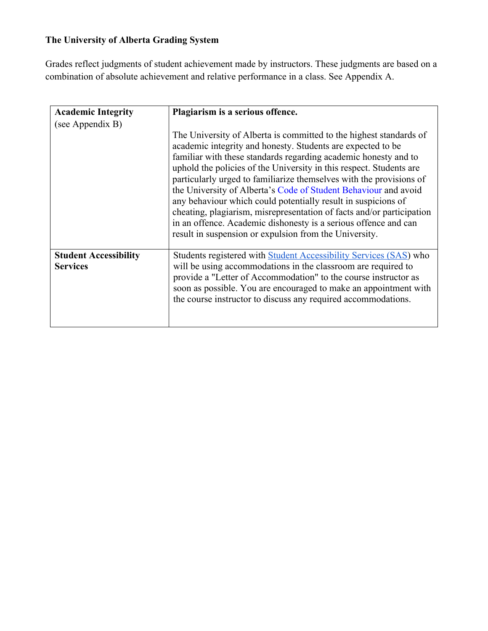# **The University of Alberta Grading System**

Grades reflect judgments of student achievement made by instructors. These judgments are based on a combination of absolute achievement and relative performance in a class. See Appendix A.

| <b>Academic Integrity</b>                       | Plagiarism is a serious offence.                                                                                                                                                                                                                                                                                                                                                                                                                                                                                                                                                                                                                                                             |
|-------------------------------------------------|----------------------------------------------------------------------------------------------------------------------------------------------------------------------------------------------------------------------------------------------------------------------------------------------------------------------------------------------------------------------------------------------------------------------------------------------------------------------------------------------------------------------------------------------------------------------------------------------------------------------------------------------------------------------------------------------|
| (see Appendix B)                                |                                                                                                                                                                                                                                                                                                                                                                                                                                                                                                                                                                                                                                                                                              |
|                                                 | The University of Alberta is committed to the highest standards of<br>academic integrity and honesty. Students are expected to be<br>familiar with these standards regarding academic honesty and to<br>uphold the policies of the University in this respect. Students are<br>particularly urged to familiarize themselves with the provisions of<br>the University of Alberta's Code of Student Behaviour and avoid<br>any behaviour which could potentially result in suspicions of<br>cheating, plagiarism, misrepresentation of facts and/or participation<br>in an offence. Academic dishonesty is a serious offence and can<br>result in suspension or expulsion from the University. |
| <b>Student Accessibility</b><br><b>Services</b> | Students registered with <b>Student Accessibility Services (SAS)</b> who<br>will be using accommodations in the classroom are required to<br>provide a "Letter of Accommodation" to the course instructor as<br>soon as possible. You are encouraged to make an appointment with<br>the course instructor to discuss any required accommodations.                                                                                                                                                                                                                                                                                                                                            |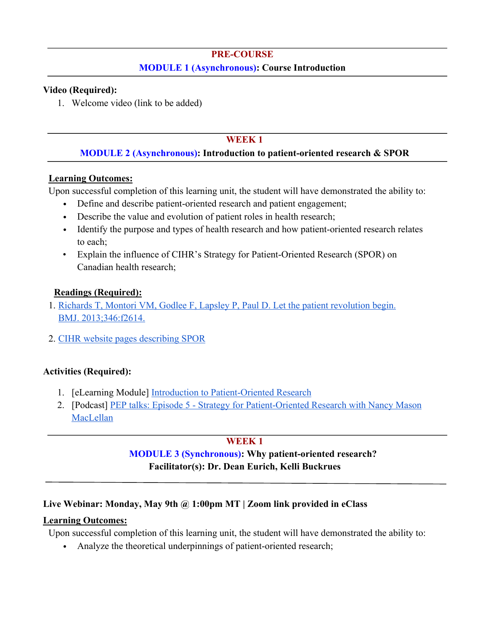# **PRE-COURSE MODULE 1 (Asynchronous): Course Introduction**

## **Video (Required):**

1. Welcome video (link to be added)

## **WEEK 1**

## **MODULE 2 (Asynchronous): Introduction to patient-oriented research & SPOR**

## **Learning Outcomes:**

Upon successful completion of this learning unit, the student will have demonstrated the ability to:

- Define and describe patient-oriented research and patient engagement;
- Describe the value and evolution of patient roles in health research;
- Identify the purpose and types of health research and how patient-oriented research relates to each;
- Explain the influence of CIHR's Strategy for Patient-Oriented Research (SPOR) on Canadian health research;

## **Readings (Required):**

- 1. Richards T, Montori VM, Godlee F, Lapsley P, Paul D. Let the patient revolution begin. BMJ. 2013;346:f2614.
- 2. CIHR website pages describing SPOR

## **Activities (Required):**

- 1. [eLearning Module] Introduction to Patient-Oriented Research
- 2. [Podcast] PEP talks: Episode 5 Strategy for Patient-Oriented Research with Nancy Mason MacLellan

## **WEEK 1**

# **MODULE 3 (Synchronous): Why patient-oriented research? Facilitator(s): Dr. Dean Eurich, Kelli Buckrues**

## **Live Webinar: Monday, May 9th @ 1:00pm MT | Zoom link provided in eClass**

## **Learning Outcomes:**

Upon successful completion of this learning unit, the student will have demonstrated the ability to:

• Analyze the theoretical underpinnings of patient-oriented research;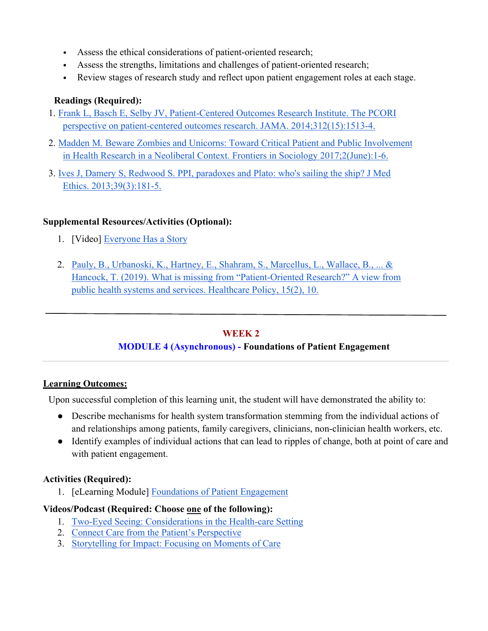- Assess the ethical considerations of patient-oriented research;
- Assess the strengths, limitations and challenges of patient-oriented research;
- Review stages of research study and reflect upon patient engagement roles at each stage.

# **Readings (Required):**

- 1. Frank L, Basch E, Selby JV, Patient-Centered Outcomes Research Institute. The PCORI perspective on patient-centered outcomes research. JAMA. 2014;312(15):1513-4.
- 2. Madden M. Beware Zombies and Unicorns: Toward Critical Patient and Public Involvement in Health Research in a Neoliberal Context. Frontiers in Sociology 2017;2(June):1-6.
- 3. Ives J, Damery S, Redwood S. PPI, paradoxes and Plato: who's sailing the ship? J Med Ethics. 2013;39(3):181-5.

## **Supplemental Resources/Activities (Optional):**

- 1. [Video] Everyone Has a Story
- 2. Pauly, B., Urbanoski, K., Hartney, E., Shahram, S., Marcellus, L., Wallace, B., ... & Hancock, T. (2019). What is missing from "Patient-Oriented Research?" A view from public health systems and services. Healthcare Policy, 15(2), 10.

## **WEEK 2**

## **MODULE 4 (Asynchronous) - Foundations of Patient Engagement**

## **Learning Outcomes:**

Upon successful completion of this learning unit, the student will have demonstrated the ability to:

- Describe mechanisms for health system transformation stemming from the individual actions of and relationships among patients, family caregivers, clinicians, non-clinician health workers, etc.
- Identify examples of individual actions that can lead to ripples of change, both at point of care and with patient engagement.

## **Activities (Required):**

1. [eLearning Module] Foundations of Patient Engagement

## **Videos/Podcast (Required: Choose one of the following):**

- 1. Two-Eyed Seeing: Considerations in the Health-care Setting
- 2. Connect Care from the Patient's Perspective
- 3. Storytelling for Impact: Focusing on Moments of Care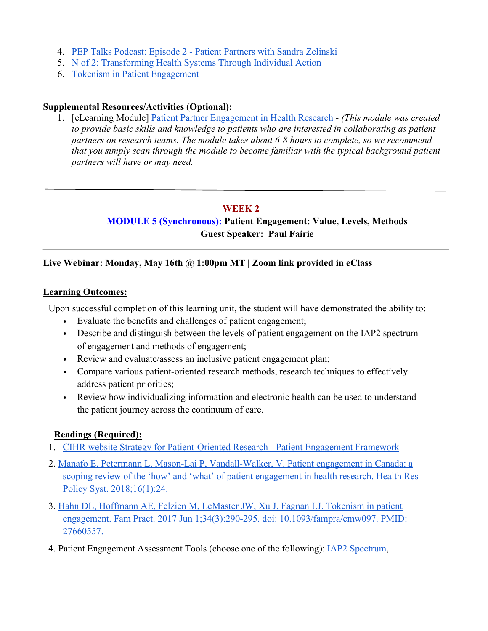- 4. PEP Talks Podcast: Episode 2 Patient Partners with Sandra Zelinski
- 5. N of 2: Transforming Health Systems Through Individual Action
- 6. Tokenism in Patient Engagement

### **Supplemental Resources/Activities (Optional):**

1. [eLearning Module] Patient Partner Engagement in Health Research - *(This module was created to provide basic skills and knowledge to patients who are interested in collaborating as patient partners on research teams. The module takes about 6-8 hours to complete, so we recommend that you simply scan through the module to become familiar with the typical background patient partners will have or may need.*

### **WEEK 2**

# **MODULE 5 (Synchronous): Patient Engagement: Value, Levels, Methods Guest Speaker: Paul Fairie**

## **Live Webinar: Monday, May 16th @ 1:00pm MT | Zoom link provided in eClass**

### **Learning Outcomes:**

Upon successful completion of this learning unit, the student will have demonstrated the ability to:

- Evaluate the benefits and challenges of patient engagement;
- Describe and distinguish between the levels of patient engagement on the IAP2 spectrum of engagement and methods of engagement;
- Review and evaluate/assess an inclusive patient engagement plan;
- Compare various patient-oriented research methods, research techniques to effectively address patient priorities;
- Review how individualizing information and electronic health can be used to understand the patient journey across the continuum of care.

### **Readings (Required):**

- 1. CIHR website Strategy for Patient-Oriented Research Patient Engagement Framework
- 2. Manafo E, Petermann L, Mason-Lai P, Vandall-Walker, V. Patient engagement in Canada: a scoping review of the 'how' and 'what' of patient engagement in health research. Health Res Policy Syst. 2018;16(1):24.
- 3. Hahn DL, Hoffmann AE, Felzien M, LeMaster JW, Xu J, Fagnan LJ. Tokenism in patient engagement. Fam Pract. 2017 Jun 1;34(3):290-295. doi: 10.1093/fampra/cmw097. PMID: 27660557.
- 4. Patient Engagement Assessment Tools (choose one of the following): IAP2 Spectrum,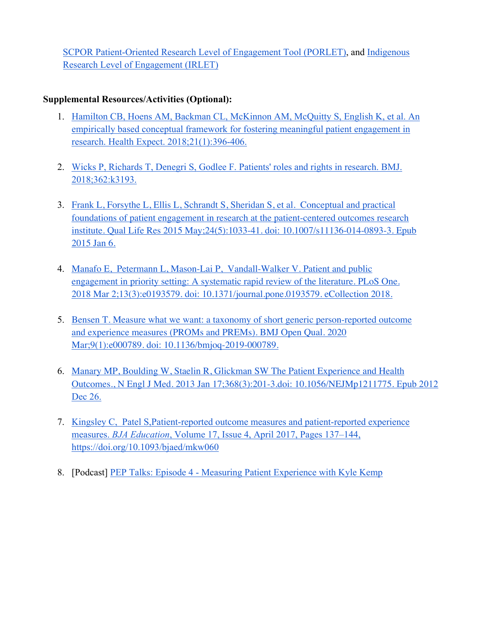SCPOR Patient-Oriented Research Level of Engagement Tool (PORLET), and Indigenous Research Level of Engagement (IRLET)

- 1. Hamilton CB, Hoens AM, Backman CL, McKinnon AM, McQuitty S, English K, et al. An empirically based conceptual framework for fostering meaningful patient engagement in research. Health Expect. 2018;21(1):396-406.
- 2. Wicks P, Richards T, Denegri S, Godlee F. Patients' roles and rights in research. BMJ. 2018;362:k3193.
- 3. Frank L, Forsythe L, Ellis L, Schrandt S, Sheridan S, et al. Conceptual and practical foundations of patient engagement in research at the patient-centered outcomes research institute. Qual Life Res 2015 May;24(5):1033-41. doi: 10.1007/s11136-014-0893-3. Epub 2015 Jan 6.
- 4. Manafo E, Petermann L, Mason-Lai P, Vandall-Walker V. Patient and public engagement in priority setting: A systematic rapid review of the literature. PLoS One. 2018 Mar 2;13(3):e0193579. doi: 10.1371/journal.pone.0193579. eCollection 2018.
- 5. Bensen T. Measure what we want: a taxonomy of short generic person-reported outcome and experience measures (PROMs and PREMs). BMJ Open Qual. 2020 Mar;9(1):e000789. doi: 10.1136/bmjoq-2019-000789.
- 6. Manary MP, Boulding W, Staelin R, Glickman SW The Patient Experience and Health Outcomes., N Engl J Med. 2013 Jan 17;368(3):201-3.doi: 10.1056/NEJMp1211775. Epub 2012 Dec 26.
- 7. Kingsley C, Patel S,Patient-reported outcome measures and patient-reported experience measures. *BJA Education*, Volume 17, Issue 4, April 2017, Pages 137–144, https://doi.org/10.1093/bjaed/mkw060
- 8. [Podcast] PEP Talks: Episode 4 Measuring Patient Experience with Kyle Kemp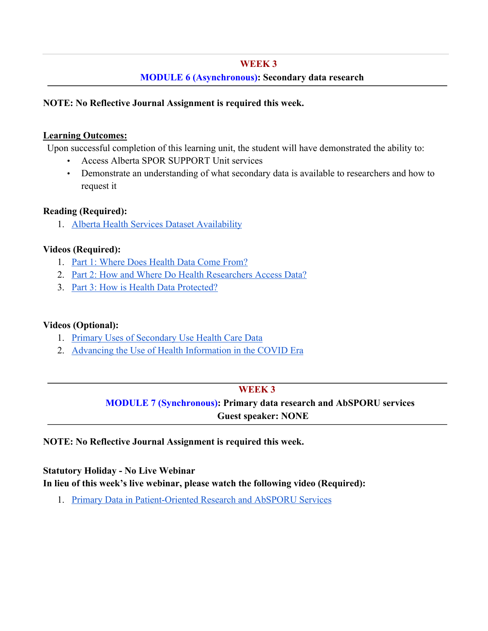## **WEEK 3**

## **MODULE 6 (Asynchronous): Secondary data research**

### **NOTE: No Reflective Journal Assignment is required this week.**

### **Learning Outcomes:**

Upon successful completion of this learning unit, the student will have demonstrated the ability to:

- Access Alberta SPOR SUPPORT Unit services
- Demonstrate an understanding of what secondary data is available to researchers and how to request it

### **Reading (Required):**

1. Alberta Health Services Dataset Availability

### **Videos (Required):**

- 1. Part 1: Where Does Health Data Come From?
- 2. Part 2: How and Where Do Health Researchers Access Data?
- 3. Part 3: How is Health Data Protected?

## **Videos (Optional):**

- 1. Primary Uses of Secondary Use Health Care Data
- 2. Advancing the Use of Health Information in the COVID Era

## **WEEK 3**

# **MODULE 7 (Synchronous): Primary data research and AbSPORU services Guest speaker: NONE**

## **NOTE: No Reflective Journal Assignment is required this week.**

# **Statutory Holiday - No Live Webinar In lieu of this week's live webinar, please watch the following video (Required):**

1. Primary Data in Patient-Oriented Research and AbSPORU Services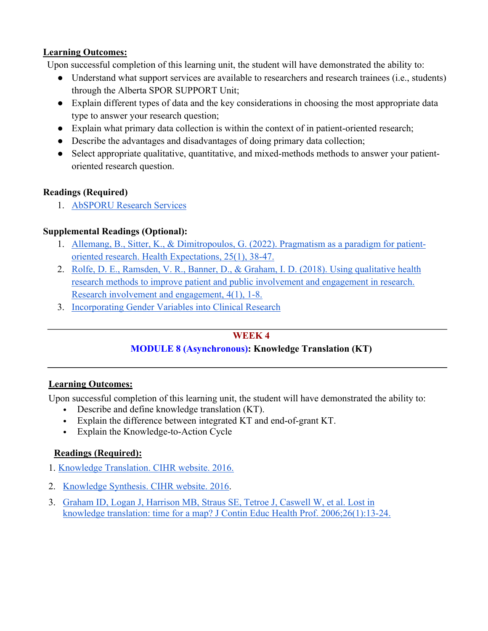## **Learning Outcomes:**

Upon successful completion of this learning unit, the student will have demonstrated the ability to:

- Understand what support services are available to researchers and research trainees (i.e., students) through the Alberta SPOR SUPPORT Unit;
- Explain different types of data and the key considerations in choosing the most appropriate data type to answer your research question;
- Explain what primary data collection is within the context of in patient-oriented research;
- Describe the advantages and disadvantages of doing primary data collection;
- Select appropriate qualitative, quantitative, and mixed-methods methods to answer your patientoriented research question.

## **Readings (Required)**

1. AbSPORU Research Services

## **Supplemental Readings (Optional):**

- 1. Allemang, B., Sitter, K., & Dimitropoulos, G. (2022). Pragmatism as a paradigm for patientoriented research. Health Expectations, 25(1), 38-47.
- 2. Rolfe, D. E., Ramsden, V. R., Banner, D., & Graham, I. D. (2018). Using qualitative health research methods to improve patient and public involvement and engagement in research. Research involvement and engagement, 4(1), 1-8.
- 3. Incorporating Gender Variables into Clinical Research

## **WEEK 4**

## **MODULE 8 (Asynchronous): Knowledge Translation (KT)**

## **Learning Outcomes:**

Upon successful completion of this learning unit, the student will have demonstrated the ability to:

- Describe and define knowledge translation (KT).
- Explain the difference between integrated KT and end-of-grant KT.
- Explain the Knowledge-to-Action Cycle

## **Readings (Required):**

- 1. Knowledge Translation. CIHR website. 2016.
- 2. Knowledge Synthesis. CIHR website. 2016.
- 3. Graham ID, Logan J, Harrison MB, Straus SE, Tetroe J, Caswell W, et al. Lost in knowledge translation: time for a map? J Contin Educ Health Prof. 2006;26(1):13-24.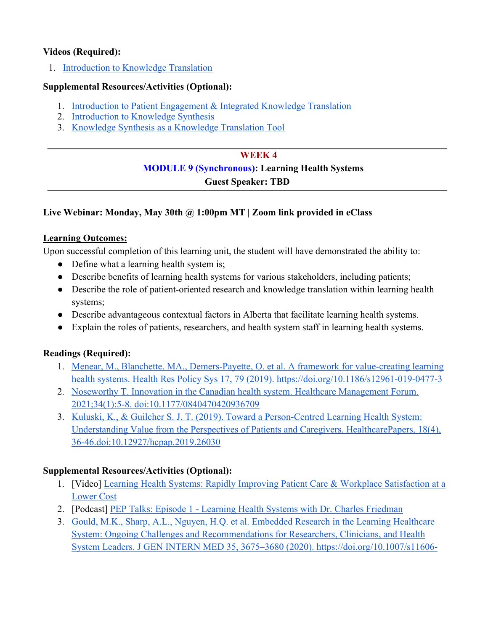## **Videos (Required):**

1. Introduction to Knowledge Translation

## **Supplemental Resources/Activities (Optional):**

- 1. Introduction to Patient Engagement & Integrated Knowledge Translation
- 2. Introduction to Knowledge Synthesis
- 3. Knowledge Synthesis as a Knowledge Translation Tool

## **WEEK 4**

# **MODULE 9 (Synchronous): Learning Health Systems**

# **Guest Speaker: TBD**

# **Live Webinar: Monday, May 30th @ 1:00pm MT | Zoom link provided in eClass**

## **Learning Outcomes:**

Upon successful completion of this learning unit, the student will have demonstrated the ability to:

- Define what a learning health system is;
- Describe benefits of learning health systems for various stakeholders, including patients;
- Describe the role of patient-oriented research and knowledge translation within learning health systems;
- Describe advantageous contextual factors in Alberta that facilitate learning health systems.
- Explain the roles of patients, researchers, and health system staff in learning health systems.

## **Readings (Required):**

- 1. Menear, M., Blanchette, MA., Demers-Payette, O. et al. A framework for value-creating learning health systems. Health Res Policy Sys 17, 79 (2019). https://doi.org/10.1186/s12961-019-0477-3
- 2. Noseworthy T. Innovation in the Canadian health system. Healthcare Management Forum. 2021;34(1):5-8. doi:10.1177/0840470420936709
- 3. Kuluski, K., & Guilcher S. J. T. (2019). Toward a Person-Centred Learning Health System: Understanding Value from the Perspectives of Patients and Caregivers. HealthcarePapers, 18(4), 36-46.doi:10.12927/hcpap.2019.26030

- 1. [Video] Learning Health Systems: Rapidly Improving Patient Care & Workplace Satisfaction at a Lower Cost
- 2. [Podcast] PEP Talks: Episode 1 Learning Health Systems with Dr. Charles Friedman
- 3. Gould, M.K., Sharp, A.L., Nguyen, H.Q. et al. Embedded Research in the Learning Healthcare System: Ongoing Challenges and Recommendations for Researchers, Clinicians, and Health System Leaders. J GEN INTERN MED 35, 3675–3680 (2020). https://doi.org/10.1007/s11606-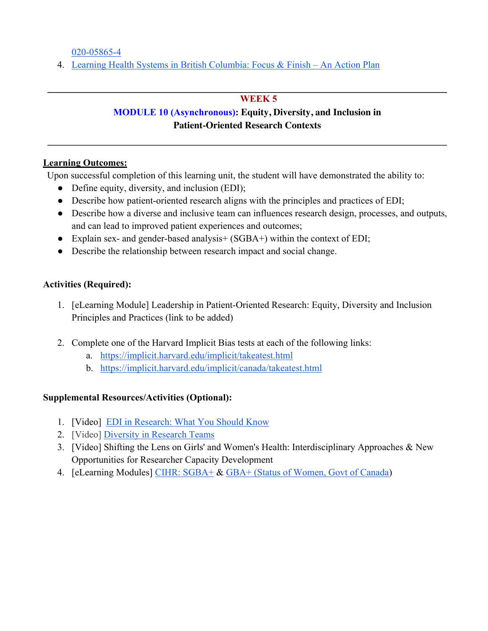020-05865-4

4. Learning Health Systems in British Columbia: Focus & Finish – An Action Plan

## **WEEK 5**

# **MODULE 10 (Asynchronous): Equity, Diversity, and Inclusion in Patient-Oriented Research Contexts**

## **Learning Outcomes:**

Upon successful completion of this learning unit, the student will have demonstrated the ability to:

- Define equity, diversity, and inclusion (EDI);
- Describe how patient-oriented research aligns with the principles and practices of EDI;
- Describe how a diverse and inclusive team can influences research design, processes, and outputs, and can lead to improved patient experiences and outcomes;
- Explain sex- and gender-based analysis+ (SGBA+) within the context of EDI;
- Describe the relationship between research impact and social change.

## **Activities (Required):**

- 1. [eLearning Module] Leadership in Patient-Oriented Research: Equity, Diversity and Inclusion Principles and Practices (link to be added)
- 2. Complete one of the Harvard Implicit Bias tests at each of the following links:
	- a. https://implicit.harvard.edu/implicit/takeatest.html
	- b. https://implicit.harvard.edu/implicit/canada/takeatest.html

- 1. [Video] EDI in Research: What You Should Know
- 2. [Video] Diversity in Research Teams
- 3. [Video] Shifting the Lens on Girls' and Women's Health: Interdisciplinary Approaches & New Opportunities for Researcher Capacity Development
- 4. [eLearning Modules] CIHR: SGBA+ & GBA+ (Status of Women, Govt of Canada)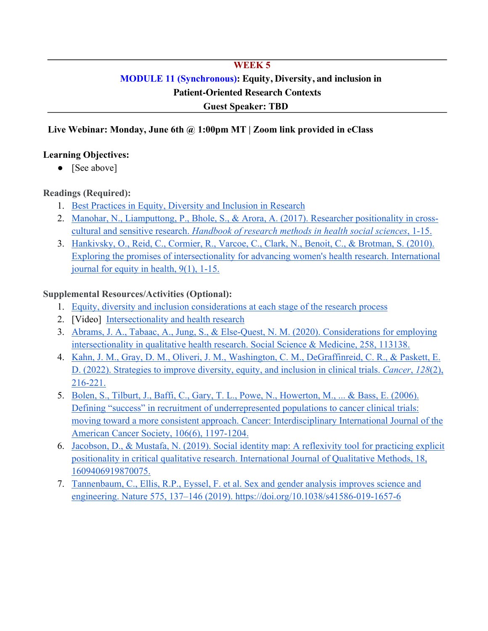# **WEEK 5 MODULE 11 (Synchronous): Equity, Diversity, and inclusion in Patient-Oriented Research Contexts Guest Speaker: TBD**

## **Live Webinar: Monday, June 6th @ 1:00pm MT | Zoom link provided in eClass**

### **Learning Objectives:**

• [See above]

## **Readings (Required):**

- 1. Best Practices in Equity, Diversity and Inclusion in Research
- 2. Manohar, N., Liamputtong, P., Bhole, S., & Arora, A. (2017). Researcher positionality in crosscultural and sensitive research. *Handbook of research methods in health social sciences*, 1-15.
- 3. Hankivsky, O., Reid, C., Cormier, R., Varcoe, C., Clark, N., Benoit, C., & Brotman, S. (2010). Exploring the promises of intersectionality for advancing women's health research. International journal for equity in health, 9(1), 1-15.

- 1. Equity, diversity and inclusion considerations at each stage of the research process
- 2. [Video] Intersectionality and health research
- 3. Abrams, J. A., Tabaac, A., Jung, S., & Else-Quest, N. M. (2020). Considerations for employing intersectionality in qualitative health research. Social Science & Medicine, 258, 113138.
- 4. Kahn, J. M., Gray, D. M., Oliveri, J. M., Washington, C. M., DeGraffinreid, C. R., & Paskett, E. D. (2022). Strategies to improve diversity, equity, and inclusion in clinical trials. *Cancer*, *128*(2), 216-221.
- 5. Bolen, S., Tilburt, J., Baffi, C., Gary, T. L., Powe, N., Howerton, M., ... & Bass, E. (2006). Defining "success" in recruitment of underrepresented populations to cancer clinical trials: moving toward a more consistent approach. Cancer: Interdisciplinary International Journal of the American Cancer Society, 106(6), 1197-1204.
- 6. Jacobson, D., & Mustafa, N. (2019). Social identity map: A reflexivity tool for practicing explicit positionality in critical qualitative research. International Journal of Qualitative Methods, 18, 1609406919870075.
- 7. Tannenbaum, C., Ellis, R.P., Eyssel, F. et al. Sex and gender analysis improves science and engineering. Nature 575, 137–146 (2019). https://doi.org/10.1038/s41586-019-1657-6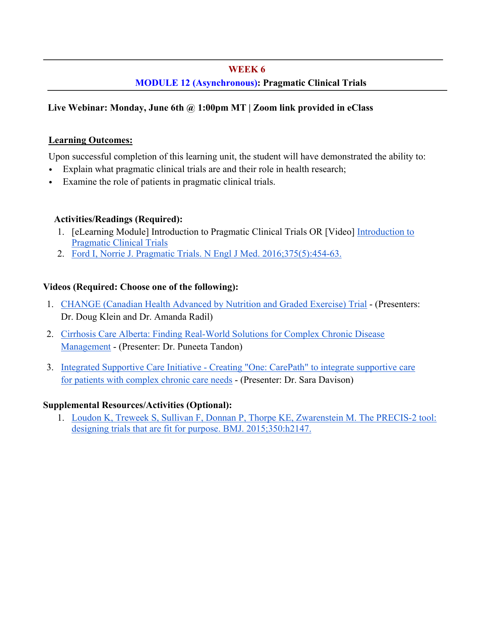### **WEEK 6**

## **MODULE 12 (Asynchronous): Pragmatic Clinical Trials**

## **Live Webinar: Monday, June 6th @ 1:00pm MT | Zoom link provided in eClass**

### **Learning Outcomes:**

Upon successful completion of this learning unit, the student will have demonstrated the ability to:

- Explain what pragmatic clinical trials are and their role in health research;
- Examine the role of patients in pragmatic clinical trials.

## **Activities/Readings (Required):**

- 1. [eLearning Module] Introduction to Pragmatic Clinical Trials OR [Video] Introduction to Pragmatic Clinical Trials
- 2. Ford I, Norrie J. Pragmatic Trials. N Engl J Med. 2016;375(5):454-63.

## **Videos (Required: Choose one of the following):**

- 1. CHANGE (Canadian Health Advanced by Nutrition and Graded Exercise) Trial (Presenters: Dr. Doug Klein and Dr. Amanda Radil)
- 2. Cirrhosis Care Alberta: Finding Real-World Solutions for Complex Chronic Disease Management - (Presenter: Dr. Puneeta Tandon)
- 3. Integrated Supportive Care Initiative Creating "One: CarePath" to integrate supportive care for patients with complex chronic care needs - (Presenter: Dr. Sara Davison)

## **Supplemental Resources/Activities (Optional):**

1. Loudon K, Treweek S, Sullivan F, Donnan P, Thorpe KE, Zwarenstein M. The PRECIS-2 tool: designing trials that are fit for purpose. BMJ. 2015;350:h2147.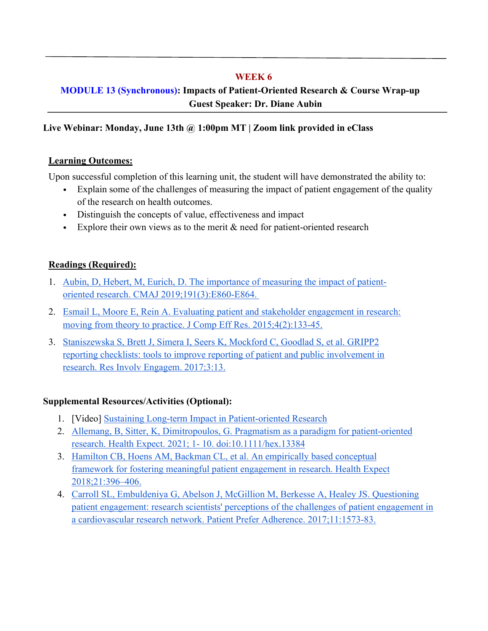## **WEEK 6**

# **MODULE 13 (Synchronous): Impacts of Patient-Oriented Research & Course Wrap-up Guest Speaker: Dr. Diane Aubin**

## **Live Webinar: Monday, June 13th @ 1:00pm MT | Zoom link provided in eClass**

## **Learning Outcomes:**

Upon successful completion of this learning unit, the student will have demonstrated the ability to:

- Explain some of the challenges of measuring the impact of patient engagement of the quality of the research on health outcomes.
- Distinguish the concepts of value, effectiveness and impact
- Explore their own views as to the merit & need for patient-oriented research

## **Readings (Required):**

- 1. Aubin, D, Hebert, M, Eurich, D. The importance of measuring the impact of patientoriented research. CMAJ 2019;191(3):E860-E864.
- 2. Esmail L, Moore E, Rein A. Evaluating patient and stakeholder engagement in research: moving from theory to practice. J Comp Eff Res. 2015;4(2):133-45.
- 3. Staniszewska S, Brett J, Simera I, Seers K, Mockford C, Goodlad S, et al. GRIPP2 reporting checklists: tools to improve reporting of patient and public involvement in research. Res Involv Engagem. 2017;3:13.

- 1. [Video] Sustaining Long-term Impact in Patient-oriented Research
- 2. Allemang, B, Sitter, K, Dimitropoulos, G. Pragmatism as a paradigm for patient-oriented research. Health Expect. 2021; 1- 10. doi:10.1111/hex.13384
- 3. Hamilton CB, Hoens AM, Backman CL, et al. An empirically based conceptual framework for fostering meaningful patient engagement in research. Health Expect 2018;21:396–406.
- 4. Carroll SL, Embuldeniya G, Abelson J, McGillion M, Berkesse A, Healey JS. Questioning patient engagement: research scientists' perceptions of the challenges of patient engagement in a cardiovascular research network. Patient Prefer Adherence. 2017;11:1573-83.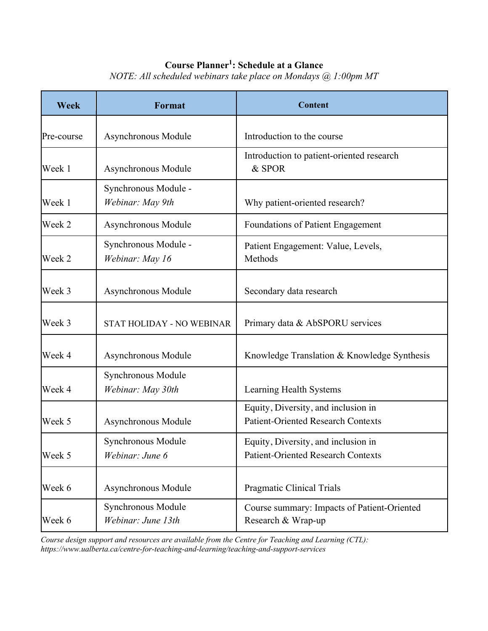## **Course Planner1 : Schedule at a Glance**

| Week       | <b>Format</b>                            | <b>Content</b>                                                                   |  |
|------------|------------------------------------------|----------------------------------------------------------------------------------|--|
| Pre-course | Asynchronous Module                      | Introduction to the course                                                       |  |
| Week 1     | Asynchronous Module                      | Introduction to patient-oriented research<br>& SPOR                              |  |
| Week 1     | Synchronous Module -<br>Webinar: May 9th | Why patient-oriented research?                                                   |  |
| Week 2     | Asynchronous Module                      | <b>Foundations of Patient Engagement</b>                                         |  |
| Week 2     | Synchronous Module -<br>Webinar: May 16  | Patient Engagement: Value, Levels,<br>Methods                                    |  |
| Week 3     | Asynchronous Module                      | Secondary data research                                                          |  |
| Week 3     | STAT HOLIDAY - NO WEBINAR                | Primary data & AbSPORU services                                                  |  |
| Week 4     | Asynchronous Module                      | Knowledge Translation & Knowledge Synthesis                                      |  |
| Week 4     | Synchronous Module<br>Webinar: May 30th  | Learning Health Systems                                                          |  |
| Week 5     | Asynchronous Module                      | Equity, Diversity, and inclusion in<br><b>Patient-Oriented Research Contexts</b> |  |
| Week 5     | Synchronous Module<br>Webinar: June 6    | Equity, Diversity, and inclusion in<br><b>Patient-Oriented Research Contexts</b> |  |
| Week 6     | Asynchronous Module                      | Pragmatic Clinical Trials                                                        |  |
| Week 6     | Synchronous Module<br>Webinar: June 13th | Course summary: Impacts of Patient-Oriented<br>Research & Wrap-up                |  |

*NOTE: All scheduled webinars take place on Mondays @ 1:00pm MT*

*Course design support and resources are available from the Centre for Teaching and Learning (CTL): https://www.ualberta.ca/centre-for-teaching-and-learning/teaching-and-support-services*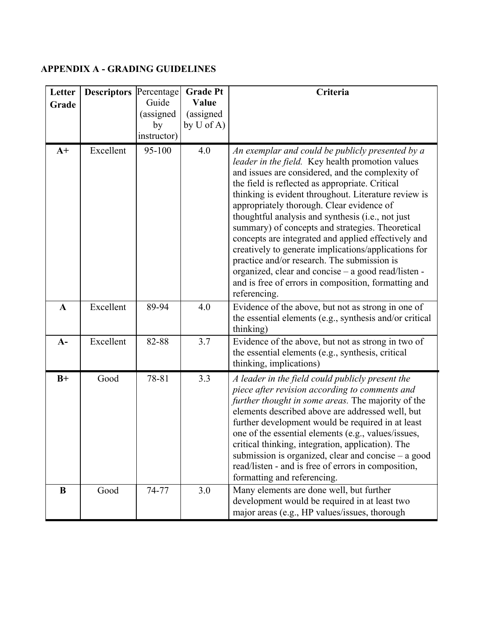# **APPENDIX A - GRADING GUIDELINES**

| Letter<br>Grade | <b>Descriptors Percentage</b> | Guide<br>(assigned<br>by<br>instructor) | <b>Grade Pt</b><br>Value<br>(assigned<br>by $U$ of A) | Criteria                                                                                                                                                                                                                                                                                                                                                                                                                                                                                                                                                                                                                                                                                                               |
|-----------------|-------------------------------|-----------------------------------------|-------------------------------------------------------|------------------------------------------------------------------------------------------------------------------------------------------------------------------------------------------------------------------------------------------------------------------------------------------------------------------------------------------------------------------------------------------------------------------------------------------------------------------------------------------------------------------------------------------------------------------------------------------------------------------------------------------------------------------------------------------------------------------------|
| $A+$            | Excellent                     | 95-100                                  | 4.0                                                   | An exemplar and could be publicly presented by a<br>leader in the field. Key health promotion values<br>and issues are considered, and the complexity of<br>the field is reflected as appropriate. Critical<br>thinking is evident throughout. Literature review is<br>appropriately thorough. Clear evidence of<br>thoughtful analysis and synthesis (i.e., not just<br>summary) of concepts and strategies. Theoretical<br>concepts are integrated and applied effectively and<br>creatively to generate implications/applications for<br>practice and/or research. The submission is<br>organized, clear and concise - a good read/listen -<br>and is free of errors in composition, formatting and<br>referencing. |
| $\mathbf{A}$    | Excellent                     | 89-94                                   | 4.0                                                   | Evidence of the above, but not as strong in one of<br>the essential elements (e.g., synthesis and/or critical<br>thinking)                                                                                                                                                                                                                                                                                                                                                                                                                                                                                                                                                                                             |
| $A-$            | Excellent                     | 82-88                                   | 3.7                                                   | Evidence of the above, but not as strong in two of<br>the essential elements (e.g., synthesis, critical<br>thinking, implications)                                                                                                                                                                                                                                                                                                                                                                                                                                                                                                                                                                                     |
| $B+$            | Good                          | 78-81                                   | 3.3                                                   | A leader in the field could publicly present the<br>piece after revision according to comments and<br>further thought in some areas. The majority of the<br>elements described above are addressed well, but<br>further development would be required in at least<br>one of the essential elements (e.g., values/issues,<br>critical thinking, integration, application). The<br>submission is organized, clear and concise $-$ a good<br>read/listen - and is free of errors in composition,<br>formatting and referencing.                                                                                                                                                                                           |
| B               | Good                          | 74-77                                   | 3.0                                                   | Many elements are done well, but further<br>development would be required in at least two<br>major areas (e.g., HP values/issues, thorough                                                                                                                                                                                                                                                                                                                                                                                                                                                                                                                                                                             |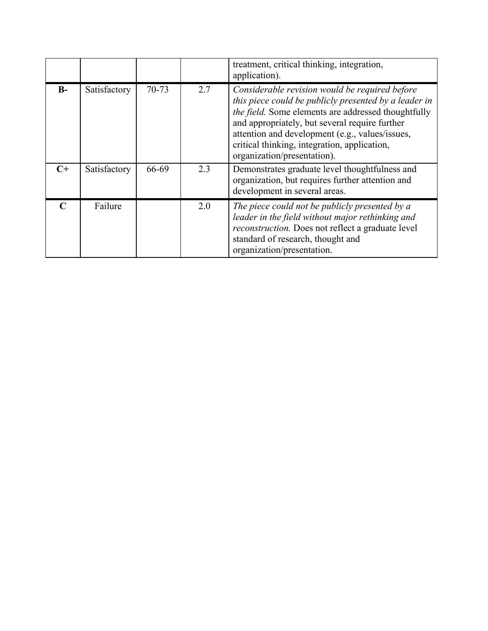|               |              |       |     | treatment, critical thinking, integration,<br>application).                                                                                                                                                                                                                                                                                        |
|---------------|--------------|-------|-----|----------------------------------------------------------------------------------------------------------------------------------------------------------------------------------------------------------------------------------------------------------------------------------------------------------------------------------------------------|
| $B -$         | Satisfactory | 70-73 | 2.7 | Considerable revision would be required before<br>this piece could be publicly presented by a leader in<br>the field. Some elements are addressed thoughtfully<br>and appropriately, but several require further<br>attention and development (e.g., values/issues,<br>critical thinking, integration, application,<br>organization/presentation). |
| $C+$          | Satisfactory | 66-69 | 2.3 | Demonstrates graduate level thoughtfulness and<br>organization, but requires further attention and<br>development in several areas.                                                                                                                                                                                                                |
| $\mathcal{C}$ | Failure      |       | 2.0 | The piece could not be publicly presented by a<br>leader in the field without major rethinking and<br>reconstruction. Does not reflect a graduate level<br>standard of research, thought and<br>organization/presentation.                                                                                                                         |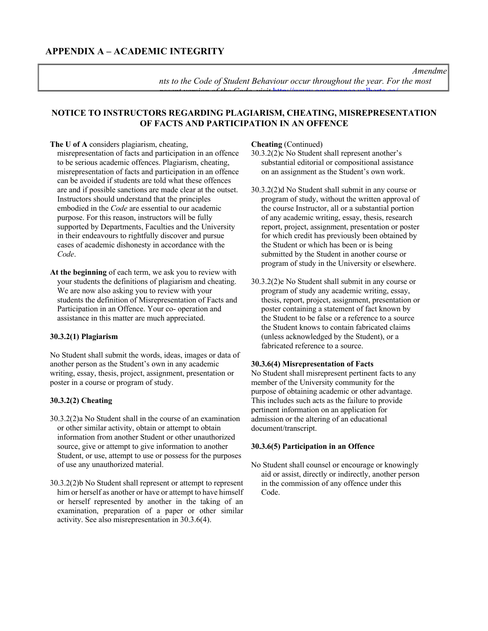### *Amendme*

*nts to the Code of Student Behaviour occur throughout the year. For the most recent version of the Code, visit* http://www.governance.ualberta.ca/

### **NOTICE TO INSTRUCTORS REGARDING PLAGIARISM, CHEATING, MISREPRESENTATION OF FACTS AND PARTICIPATION IN AN OFFENCE**

#### **The U of A** considers plagiarism, cheating,

misrepresentation of facts and participation in an offence to be serious academic offences. Plagiarism, cheating, misrepresentation of facts and participation in an offence can be avoided if students are told what these offences are and if possible sanctions are made clear at the outset. Instructors should understand that the principles embodied in the *Code* are essential to our academic purpose. For this reason, instructors will be fully supported by Departments, Faculties and the University in their endeavours to rightfully discover and pursue cases of academic dishonesty in accordance with the *Code*.

**At the beginning** of each term, we ask you to review with your students the definitions of plagiarism and cheating. We are now also asking you to review with your students the definition of Misrepresentation of Facts and Participation in an Offence. Your co- operation and assistance in this matter are much appreciated.

### **30.3.2(1) Plagiarism**

No Student shall submit the words, ideas, images or data of another person as the Student's own in any academic writing, essay, thesis, project, assignment, presentation or poster in a course or program of study.

### **30.3.2(2) Cheating**

- 30.3.2(2)a No Student shall in the course of an examination or other similar activity, obtain or attempt to obtain information from another Student or other unauthorized source, give or attempt to give information to another Student, or use, attempt to use or possess for the purposes of use any unauthorized material.
- 30.3.2(2)b No Student shall represent or attempt to represent him or herself as another or have or attempt to have himself or herself represented by another in the taking of an examination, preparation of a paper or other similar activity. See also misrepresentation in 30.3.6(4).

### **Cheating** (Continued)

30.3.2(2)c No Student shall represent another's substantial editorial or compositional assistance on an assignment as the Student's own work.

- 30.3.2(2)d No Student shall submit in any course or program of study, without the written approval of the course Instructor, all or a substantial portion of any academic writing, essay, thesis, research report, project, assignment, presentation or poster for which credit has previously been obtained by the Student or which has been or is being submitted by the Student in another course or program of study in the University or elsewhere.
- 30.3.2(2)e No Student shall submit in any course or program of study any academic writing, essay, thesis, report, project, assignment, presentation or poster containing a statement of fact known by the Student to be false or a reference to a source the Student knows to contain fabricated claims (unless acknowledged by the Student), or a fabricated reference to a source.

### **30.3.6(4) Misrepresentation of Facts**

No Student shall misrepresent pertinent facts to any member of the University community for the purpose of obtaining academic or other advantage. This includes such acts as the failure to provide pertinent information on an application for admission or the altering of an educational document/transcript.

### **30.3.6(5) Participation in an Offence**

No Student shall counsel or encourage or knowingly aid or assist, directly or indirectly, another person in the commission of any offence under this Code.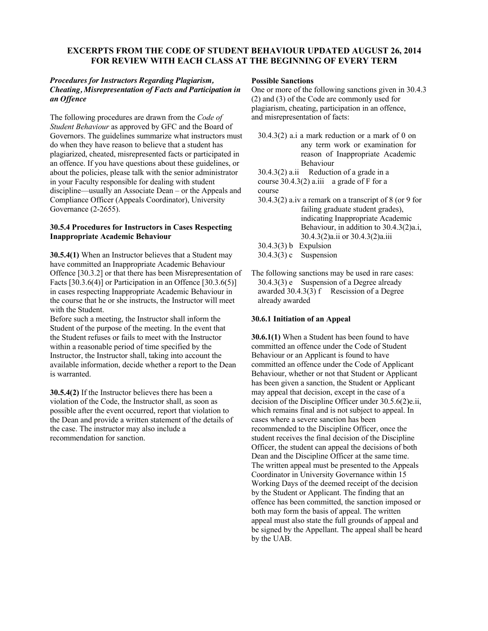### **EXCERPTS FROM THE CODE OF STUDENT BEHAVIOUR UPDATED AUGUST 26, 2014 FOR REVIEW WITH EACH CLASS AT THE BEGINNING OF EVERY TERM**

### *Procedures for Instructors Regarding Plagiarism, Cheating, Misrepresentation of Facts and Participation in an Offence*

The following procedures are drawn from the *Code of Student Behaviour* as approved by GFC and the Board of Governors. The guidelines summarize what instructors must do when they have reason to believe that a student has plagiarized, cheated, misrepresented facts or participated in an offence. If you have questions about these guidelines, or about the policies, please talk with the senior administrator in your Faculty responsible for dealing with student discipline—usually an Associate Dean – or the Appeals and Compliance Officer (Appeals Coordinator), University Governance (2-2655).

### **30.5.4 Procedures for Instructors in Cases Respecting Inappropriate Academic Behaviour**

**30.5.4(1)** When an Instructor believes that a Student may have committed an Inappropriate Academic Behaviour Offence [30.3.2] or that there has been Misrepresentation of Facts  $[30.3.6(4)]$  or Participation in an Offence  $[30.3.6(5)]$ in cases respecting Inappropriate Academic Behaviour in the course that he or she instructs, the Instructor will meet with the Student.

Before such a meeting, the Instructor shall inform the Student of the purpose of the meeting. In the event that the Student refuses or fails to meet with the Instructor within a reasonable period of time specified by the Instructor, the Instructor shall, taking into account the available information, decide whether a report to the Dean is warranted.

**30.5.4(2)** If the Instructor believes there has been a violation of the Code, the Instructor shall, as soon as possible after the event occurred, report that violation to the Dean and provide a written statement of the details of the case. The instructor may also include a recommendation for sanction.

### **Possible Sanctions**

One or more of the following sanctions given in 30.4.3 (2) and (3) of the Code are commonly used for plagiarism, cheating, participation in an offence, and misrepresentation of facts:

 $30.4.3(2)$  a.i a mark reduction or a mark of 0 on any term work or examination for reason of Inappropriate Academic Behaviour

 $30.4.3(2)$  a.ii Reduction of a grade in a course  $30.4.3(2)$  a.iii a grade of F for a course

30.4.3(2) a.iv a remark on a transcript of 8 (or 9 for failing graduate student grades), indicating Inappropriate Academic Behaviour, in addition to 30.4.3(2)a.i, 30.4.3(2)a.ii or 30.4.3(2)a.iii

30.4.3(3) b Expulsion 30.4.3(3) c Suspension

The following sanctions may be used in rare cases: 30.4.3(3) e Suspension of a Degree already awarded  $30.4.3(3)$  f Rescission of a Degree already awarded

### **30.6.1 Initiation of an Appeal**

**30.6.1(1)** When a Student has been found to have committed an offence under the Code of Student Behaviour or an Applicant is found to have committed an offence under the Code of Applicant Behaviour, whether or not that Student or Applicant has been given a sanction, the Student or Applicant may appeal that decision, except in the case of a decision of the Discipline Officer under 30.5.6(2)e.ii, which remains final and is not subject to appeal. In cases where a severe sanction has been recommended to the Discipline Officer, once the student receives the final decision of the Discipline Officer, the student can appeal the decisions of both Dean and the Discipline Officer at the same time. The written appeal must be presented to the Appeals Coordinator in University Governance within 15 Working Days of the deemed receipt of the decision by the Student or Applicant. The finding that an offence has been committed, the sanction imposed or both may form the basis of appeal. The written appeal must also state the full grounds of appeal and be signed by the Appellant. The appeal shall be heard by the UAB.